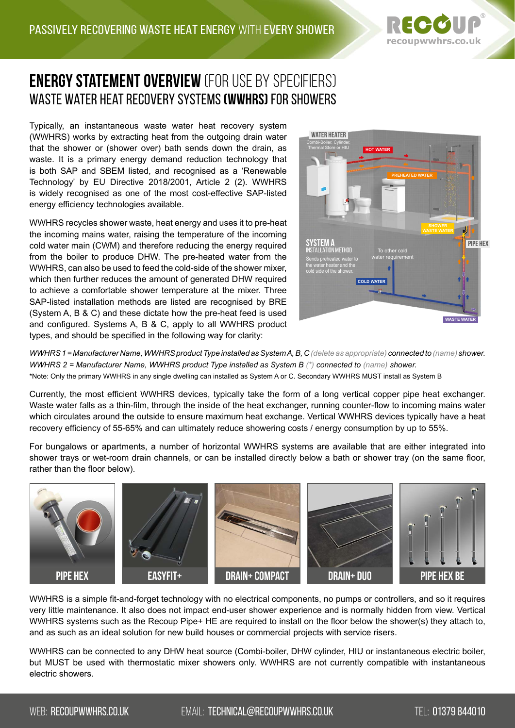

## **Energy Statement overview** (for use by specifiers) Waste Water Heat Recovery Systems **(WWHRS)** for Showers

Typically, an instantaneous waste water heat recovery system (WWHRS) works by extracting heat from the outgoing drain water that the shower or (shower over) bath sends down the drain, as waste. It is a primary energy demand reduction technology that is both SAP and SBEM listed, and recognised as a 'Renewable Technology' by EU Directive 2018/2001, Article 2 (2). WWHRS is widely recognised as one of the most cost-effective SAP-listed energy efficiency technologies available.

WWHRS recycles shower waste, heat energy and uses it to pre-heat the incoming mains water, raising the temperature of the incoming cold water main (CWM) and therefore reducing the energy required from the boiler to produce DHW. The pre-heated water from the WWHRS, can also be used to feed the cold-side of the shower mixer, which then further reduces the amount of generated DHW required to achieve a comfortable shower temperature at the mixer. Three SAP-listed installation methods are listed are recognised by BRE (System A, B & C) and these dictate how the pre-heat feed is used and configured. Systems A, B & C, apply to all WWHRS product types, and should be specified in the following way for clarity:



*WWHRS 1 = Manufacturer Name, WWHRS product Type installed as System A, B, C (delete as appropriate) connected to (name) shower. WWHRS 2 = Manufacturer Name, WWHRS product Type installed as System B (\*) connected to (name) shower.* \*Note: Only the primary WWHRS in any single dwelling can installed as System A or C. Secondary WWHRS MUST install as System B

Currently, the most efficient WWHRS devices, typically take the form of a long vertical copper pipe heat exchanger. Waste water falls as a thin-film, through the inside of the heat exchanger, running counter-flow to incoming mains water which circulates around the outside to ensure maximum heat exchange. Vertical WWHRS devices typically have a heat recovery efficiency of 55-65% and can ultimately reduce showering costs / energy consumption by up to 55%.

For bungalows or apartments, a number of horizontal WWHRS systems are available that are either integrated into shower trays or wet-room drain channels, or can be installed directly below a bath or shower tray (on the same floor, rather than the floor below).



WWHRS is a simple fit-and-forget technology with no electrical components, no pumps or controllers, and so it requires very little maintenance. It also does not impact end-user shower experience and is normally hidden from view. Vertical WWHRS systems such as the Recoup Pipe+ HE are required to install on the floor below the shower(s) they attach to, and as such as an ideal solution for new build houses or commercial projects with service risers.

WWHRS can be connected to any DHW heat source (Combi-boiler, DHW cylinder, HIU or instantaneous electric boiler, but MUST be used with thermostatic mixer showers only. WWHRS are not currently compatible with instantaneous electric showers.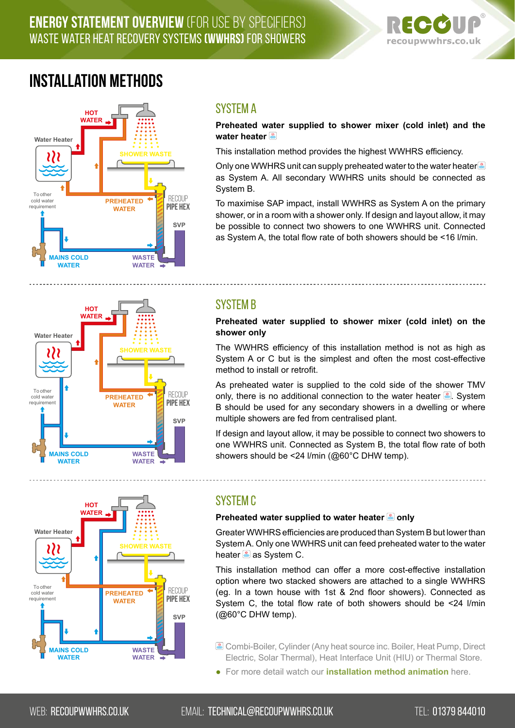## **Energy Statement overview** (for use by specifiers) Waste Water Heat Recovery Systems **(WWHRS)** for Showers



# **Installation Methods**



### System A

#### **Preheated water supplied to shower mixer (cold inlet) and the water heater**

This installation method provides the highest WWHRS efficiency.

Only one WWHRS unit can supply preheated water to the water heater as System A. All secondary WWHRS units should be connected as System B.

To maximise SAP impact, install WWHRS as System A on the primary shower, or in a room with a shower only. If design and layout allow, it may be possible to connect two showers to one WWHRS unit. Connected as System A, the total flow rate of both showers should be <16 l/min.



## System B

**Preheated water supplied to shower mixer (cold inlet) on the shower only**

The WWHRS efficiency of this installation method is not as high as System A or C but is the simplest and often the most cost-effective method to install or retrofit.

As preheated water is supplied to the cold side of the shower TMV only, there is no additional connection to the water heater  $\mathbb{E}$ . System B should be used for any secondary showers in a dwelling or where multiple showers are fed from centralised plant.

If design and layout allow, it may be possible to connect two showers to one WWHRS unit. Connected as System B, the total flow rate of both showers should be <24 l/min (@60°C DHW temp).



### System C

#### **Preheated water supplied to water heater @ only**

Greater WWHRS efficiencies are produced than System B but lower than System A. Only one WWHRS unit can feed preheated water to the water heater  $\frac{m}{n}$  as System C.

This installation method can offer a more cost-effective installation option where two stacked showers are attached to a single WWHRS (eg. In a town house with 1st & 2nd floor showers). Connected as System C, the total flow rate of both showers should be <24 l/min (@60°C DHW temp).

- Combi-Boiler, Cylinder (Any heat source inc. Boiler, Heat Pump, Direct Electric, Solar Thermal), Heat Interface Unit (HIU) or Thermal Store.
- For more detail watch our **[installation method animatio](https://recoupwwhrs.co.uk/wwhrs/#how-it-works)n** here.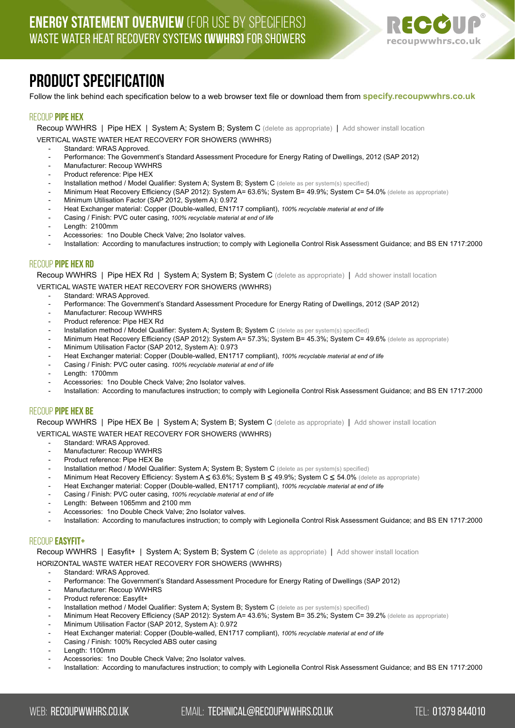

# **Product Specification**

Follow the link behind each specification below to a web browser text file or download them from **<specify.recoupwwhrs.co.uk>**

#### recoup **pipe hex**

Recoup WWHRS | Pipe HEX | System A; System B; System C (delete as appropriate) | Add shower install location VERTICAL WASTE WATER HEAT RECOVERY FOR SHOWERS (WWHRS)

- Standard: WRAS Approved.
- Performance: The Government's Standard Assessment Procedure for Energy Rating of Dwellings, 2012 (SAP 2012)
- Manufacturer: Recoup WWHRS
- Product reference: Pipe HEX
- Installation method / Model Qualifier: System A; System B; System C (delete as per system(s) specified)
- Minimum Heat Recovery Efficiency (SAP 2012): System A= 63.6%; System B= 49.9%; System C= 54.0% (delete as appropriate)
- Minimum Utilisation Factor (SAP 2012, System A): 0.972
- Heat Exchanger material: Copper (Double-walled, EN1717 compliant), *100% recyclable material at end of life*
- Casing / Finish: PVC outer casing, *100% recyclable material at end of life*
- Length: 2100mm
- Accessories: 1no Double Check Valve; 2no Isolator valves.
- [Installation: According to manufactures instruction; to comply with Legionella Control Risk Assessment Guidance; and BS EN 1717:2000](https://recoupwwhrs.co.uk/documents/Specification/Recoup_Pipe_HEX-Specification.txt)

#### recoup **pipe hex Rd**

Recoup WWHRS | Pipe HEX Rd | System A; System B; System C (delete as appropriate) | Add shower install location VERTICAL WASTE WATER HEAT RECOVERY FOR SHOWERS (WWHRS)

- Standard: WRAS Approved.
- Performance: The Government's Standard Assessment Procedure for Energy Rating of Dwellings, 2012 (SAP 2012)
- Manufacturer: Recoup WWHRS
- Product reference: Pipe HEX Rd
- Installation method / Model Qualifier: System A; System B; System C (delete as per system(s) specified)
- Minimum Heat Recovery Efficiency (SAP 2012): System A= 57.3%; System B= 45.3%; System C= 49.6% (delete as appropriate)
- Minimum Utilisation Factor (SAP 2012, System A): 0.973
- Heat Exchanger material: Copper (Double-walled, EN1717 compliant), *100% recyclable material at end of life*
- Casing / Finish: PVC outer casing. *100% recyclable material at end of life*
- Length: 1700mm
- Accessories: 1no Double Check Valve; 2no Isolator valves.
- [Installation: According to manufactures instruction; to comply with Legionella Control Risk Assessment Guidance; and BS EN 1717:2000](https://recoupwwhrs.co.uk/documents/Specification/Recoup_Pipe_HEX_Rd-Specification.txt)

#### recoup **pipe hex BE**

Recoup WWHRS | Pipe HEX Be | System A: System B: System C (delete as appropriate) | Add shower install location

VERTICAL WASTE WATER HEAT RECOVERY FOR SHOWERS (WWHRS)

- Standard: WRAS Approved.
- Manufacturer: Recoup WWHRS
- Product reference: Pipe HEX Be
- Installation method / Model Qualifier: System A; System B; System C (delete as per system(s) specified)
- Minimum Heat Recovery Efficiency: System A ≤ 63.6%; System B ≤ 49.9%; System C ≤ 54.0% (delete as appropriate)
- Heat Exchanger material: Copper (Double-walled, EN1717 compliant), *100% recyclable material at end of life*
- Casing / Finish: PVC outer casing, *100% recyclable material at end of life*
- Length: Between 1065mm and 2100 mm
- Accessories: 1no Double Check Valve: 2no Isolator valves.
- [Installation: According to manufactures instruction; to comply with Legionella Control Risk Assessment Guidance; and BS EN 1717:2000](https://recoupwwhrs.co.uk/documents/Specification/Recoup_Pipe_HEX_Be-Specification.txt)

#### recoup **easyfit+**

Recoup WWHRS | Easyfit+ | System A; System B; System C (delete as appropriate) | Add shower install location

#### HORIZONTAL WASTE WATER HEAT RECOVERY FOR SHOWERS (WWHRS)

- Standard: WRAS Approved.
- Performance: The Government's Standard Assessment Procedure for Energy Rating of Dwellings (SAP 2012)
- Manufacturer: Recoup WWHRS
- Product reference: Easyfit+
- Installation method / Model Qualifier: System A; System B; System C (delete as per system(s) specified)
- Minimum Heat Recovery Efficiency (SAP 2012): System A= 43.6%; System B= 35.2%; System C= 39.2% (delete as appropriate)
- Minimum Utilisation Factor (SAP 2012, System A): 0.972
- Heat Exchanger material: Copper (Double-walled, EN1717 compliant), *100% recyclable material at end of life*
- Casing / Finish: 100% Recycled ABS outer casing
- Length: 1100mm
- Accessories: 1no Double Check Valve: 2no Isolator valves.
- [Installation: According to manufactures instruction; to comply with Legionella Control Risk Assessment Guidance; and BS EN 1717:2000](https://recoupwwhrs.co.uk/documents/Specification/Recoup_Easyfit+-Specification.txt)